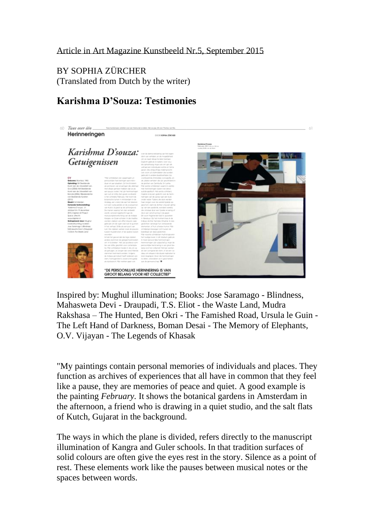## Article in Art Magazine Kunstbeeld Nr.5, September 2015

BY SOPHIA ZÜRCHER (Translated from Dutch by the writer)

## **Karishma D'Souza: Testimonies**



Inspired by: Mughul illumination; Books: Jose Saramago - Blindness, Mahasweta Devi - Draupadi, T.S. Eliot - the Waste Land, Mudra Rakshasa – The Hunted, Ben Okri - The Famished Road, Ursula le Guin - The Left Hand of Darkness, Boman Desai - The Memory of Elephants, O.V. Vijayan - The Legends of Khasak

"My paintings contain personal memories of individuals and places. They function as archives of experiences that all have in common that they feel like a pause, they are memories of peace and quiet. A good example is the painting *February.* It shows the botanical gardens in Amsterdam in the afternoon, a friend who is drawing in a quiet studio, and the salt flats of Kutch, Gujarat in the background.

The ways in which the plane is divided, refers directly to the manuscript illumination of Kangra and Guler schools. In that tradition surfaces of solid colours are often give the eyes rest in the story. Silence as a point of rest. These elements work like the pauses between musical notes or the spaces between words.